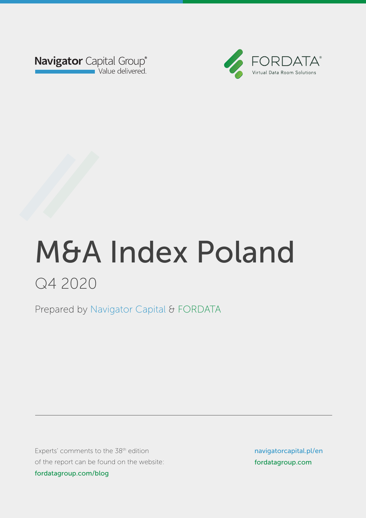



Prepared by Navigator Capital & FORDATA Prepared by Navigator Capital & FORDATA

Experts' comments to the  $38<sup>th</sup>$  edition of the report can be found on the website: fordatagroup.com/blog

navigatorcapital.p/en navigatorcapital.pl/en fordatagroup.com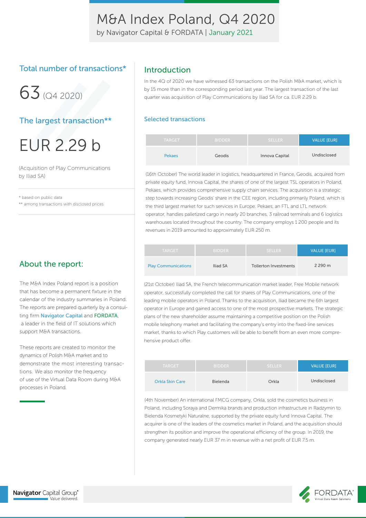by Navigator Capital & FORDATA | January 2021

### Total number of transactions\*

 $63(04, 2020)$ 

### The largest transaction\*\*

EUR 2.29 b

(Acquisition of Play Communications by Iliad SA)

\* based on public data \*\* among transactions with disclosed prices

### About the report:

The M&A Index Poland report is a position that has become a permanent fixture in the calendar of the industry summaries in Poland. The reports are prepared quarterly by a consulting firm Navigator Capital and FORDATA, a leader in the field of IT solutions which support M&A transactions.

These reports are created to monitor the dynamics of Polish M&A market and to demonstrate the most interesting transactions. We also monitor the frequency of use of the Virtual Data Room during M&A processes in Poland.

### Introduction

In the 4Q of 2020 we have witnessed 63 transactions on the Polish M&A market, which is by 15 more than in the corresponding period last year. The largest transaction of the last quarter was acquisition of Play Communications by Iliad SA for ca. EUR 2.29 b.

#### Selected transactions

| <b>TARGET</b> | <b>BIDDER</b> | <b>SELLER</b>  | <b>VALUE [EUR]</b> |
|---------------|---------------|----------------|--------------------|
| <b>Pekaes</b> | Geodis        | Innova Capital | Undisclosed        |

(16th October) The world leader in logistics, headquartered in France, Geodis, acquired from private equity fund, Innova Capital, the shares of one of the largest TSL operators in Poland, Pekaes, which provides comprehensive supply chain services. The acquisition is a strategic step towards increasing Geodis' share in the CEE region, including primarily Poland, which is the third largest market for such services in Europe. Pekaes, an FTL and LTL network operator, handles palletized cargo in nearly 20 branches, 3 railroad terminals and 6 logistics warehouses located throughout the country. The company employs 1 200 people and its revenues in 2019 amounted to approximately EUR 250 m.

| <b>TARGET</b>              | <b>BIDDER</b> | <b>SELLER</b>                | <b>VALUE [EUR]</b> |
|----------------------------|---------------|------------------------------|--------------------|
| <b>Play Communications</b> | Iliad SA      | <b>Tollerton Investments</b> | 2 290 m            |

(21st October) Iliad SA, the French telecommunication market leader, Free Mobile network operator, successfully completed the call for shares of Play Communications, one of the leading mobile operators in Poland. Thanks to the acquisition, Iliad became the 6th largest operator in Europe and gained access to one of the most prospective markets. The strategic plans of the new shareholder assume maintaining a competitive position on the Polish mobile telephony market and facilitating the company's entry into the fixed-line services market, thanks to which Play customers will be able to benefit from an even more comprehensive product offer.

| <b>TARGET</b>          | <b>BIDDER</b> | <b>SELLER</b> | <b>VALUE [EUR]</b> |
|------------------------|---------------|---------------|--------------------|
| <b>Orkla Skin Care</b> | Bielenda      | Orkla         | Undisclosed        |

(4th November) An international FMCG company, Orkla, sold the cosmetics business in Poland, including Soraya and Dermika brands and production infrastructure in Radzymin to Bielenda Kosmetyki Naturalne, supported by the private equity fund Innova Capital. The acquirer is one of the leaders of the cosmetics market in Poland, and the acquisition should strengthen its position and improve the operational efficiency of the group. In 2019, the company generated nearly EUR 37 m in revenue with a net profit of EUR 7.5 m.

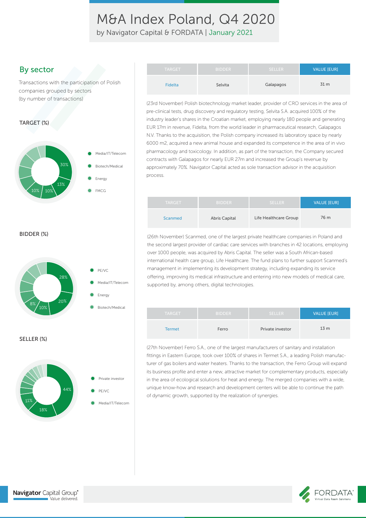by Navigator Capital & FORDATA | January 2021

### By sector

Transactions with the participation of Polish companies grouped by sectors (by number of transactions)

#### TARGET (%)



| (23rd November) Polish biotechnology market leader, provider of CRO services in the area of  |
|----------------------------------------------------------------------------------------------|
| pre-clinical tests, drug discovery and regulatory testing, Selvita S.A. acquired 100% of the |
| industry leader's shares in the Croatian market, employing nearly 180 people and generating  |
| ELID 17m in revenue Eidelta from the world leader in pharmaceutical recearch Calapagos       |

an market, employing nearly 180 people and generating EUR 17m in revenue, Fidelta, from the world leader in pharmaceutical research, Galapagos N.V. Thanks to the acquisition, the Polish company increased its laboratory space by nearly 6000 m2, acquired a new animal house and expanded its competence in the area of in vivo pharmacology and toxicology. In addition, as part of the transaction, the Company secured contracts with Galapagos for nearly EUR 27m and increased the Group's revenue by approximately 70%. Navigator Capital acted as sole transaction advisor in the acquisition process.

Fidelta **Selvita** Selvita Galapagos 31 m

TARGET BIDDER SELLER SELLER VALUE <mark>(EUR)</mark>

| <b>TARGET</b>  | <b>BIDDER</b>        | <b>SELLER</b>         | <b>VALUE [EUR]</b> |
|----------------|----------------------|-----------------------|--------------------|
| <b>Scanmed</b> | <b>Abris Capital</b> | Life Healthcare Group | 76 m               |

BIDDER (%)



(26th November) Scanmed, one of the largest private healthcare companies in Poland and the second largest provider of cardiac care services with branches in 42 locations, employing over 1000 people, was acquired by Abris Capital. The seller was a South African-based international health care group, Life Healthcare. The fund plans to further support Scanmed's management in implementing its development strategy, including expanding its service offering, improving its medical infrastructure and entering into new models of medical care, supported by, among others, digital technologies.

| <b>TARGET</b> | <b>BIDDER</b> | <b>SELLER</b>    | <b>VALUE [EUR]</b> |
|---------------|---------------|------------------|--------------------|
| Termet        | Ferro         | Private investor | 13 <sub>m</sub>    |

(27th November) Ferro S.A., one of the largest manufacturers of sanitary and installation fittings in Eastern Europe, took over 100% of shares in Termet S.A., a leading Polish manufacturer of gas boilers and water heaters. Thanks to the transaction, the Ferro Group will expand its business profile and enter a new, attractive market for complementary products, especially in the area of ecological solutions for heat and energy. The merged companies with a wide, unique know-how and research and development centers will be able to continue the path of dynamic growth, supported by the realization of synergies.



 $18%$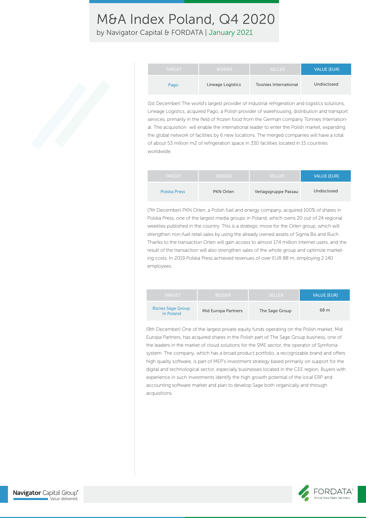by Navigator Capital & FORDATA | January 2021

| <b>TARGET</b> | <b>BIDDER</b>     | <b>SELLER</b>                | VALUE [EUR] |
|---------------|-------------------|------------------------------|-------------|
| Pago          | Lineage Logistics | <b>Toonies International</b> | Undisclosed |

(1st December) The world's largest provider of industrial refrigeration and logistics solutions, Lineage Logistics, acquired Pago, a Polish provider of warehousing, distribution and transport services, primarily in the field of frozen food from the German company Tonnies International. The acquisition will enable the international leader to enter the Polish market, expanding the global network of facilities by 6 new locations. The merged companies will have a total of about 53 million m2 of refrigeration space in 330 facilities located in 15 countries worldwide.

| <b>TARGET</b> | <b>BIDDER</b> | <b>SELLER</b>        | <b>VALUE [EUR]</b> |
|---------------|---------------|----------------------|--------------------|
| Polska Press  | PKN Orlen     | Verlagsgruppe Passau | Undisclosed        |

(7th December) PKN Orlen, a Polish fuel and energy company, acquired 100% of shares in Polska Press, one of the largest media groups in Poland, which owns 20 out of 24 regional weeklies published in the country. This is a strategic move for the Orlen group, which will strengthen non-fuel retail sales by using the already owned assets of Sigma Bis and Ruch. Thanks to the transaction Orlen will gain access to almost 17.4 million Internet users, and the result of the transaction will also strengthen sales of the whole group and optimize marketing costs. In 2019 Polska Press achieved revenues of over EUR 88 m, employing 2 140 employees.

| <b>TARGET</b>                         | <b>BIDDER</b>       | <b>SELLER</b>  | <b>VALUE [EUR]</b> |
|---------------------------------------|---------------------|----------------|--------------------|
| <b>Biznes Sage Group</b><br>in Poland | Mid Europa Partners | The Sage Group | 68 m               |

(9th December) One of the largest private equity funds operating on the Polish market, Mid Europa Partners, has acquired shares in the Polish part of The Sage Group business, one of the leaders in the market of cloud solutions for the SME sector, the operator of Symfonia system. The company, which has a broad product portfolio, a recognizable brand and offers high quality software, is part of MEP's investment strategy based primarily on support for the digital and technological sector, especially businesses located in the CEE region. Buyers with experience in such investments identify the high growth potential of the local ERP and accounting software market and plan to develop Sage both organically and through acquisitions.

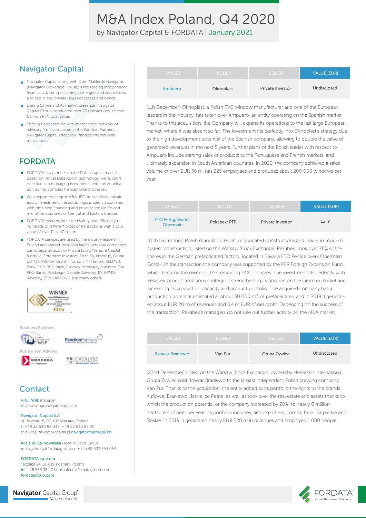by Navigator Capital & FORDATA | January 2021

### Navigator Capital

- Navigator Capital along with Dom Maklerski Navigator (Navigator Brokerage House) is the leading independent financial adviser, specializing in mergers and acquisitions and public and private issues of stocks and bonds.
- **O** During 12 years of its market presence, Navigator Capital Group conducted over 70 transactions, of over 6 billion PLN total value.
- Through cooperation with international network of advisory firms associated in the Pandion Partners, Navigator Capital effectively handles international transactions.

### FORDATA

- FORDATA is a pioneer on the Polish capital market. Based on Virtual Data Room technology, we support our clients in managing documents and communication during complex transactional processes.
- We support the largest M&A, IPO transactions, private  $\bullet$ equity investments, restructurings, projects associated with obtaining financing and privatizations in Poland and other countries of Central and Eastern Europe.
- FORDATA systems increased safety and efficiency of hundreds of different types of transactions with a total value of over PLN 40 billion
- FORDATA services are used by the industry leaders in Poland and abroad, including largest advisory companies, banks, legal advisors or Private Equity/Venture Capital funds, ie. Enterprise Investors, Enea SA, Home pl, Grupa LOTOS, PZU SA, Grant Thornton, NFI Empik, ZELMER, Bank DNB, BOŚ Bank, Polimex Mostostal, Budimex, DM PKO Banku Polskiego, Deloitte Advisory, EY, KPMG Advisory, JSW, HAITONG and many others.



Business Partners



### **Contact**

Artur Wilk Manager e: artur.wilk@navigatorcapital.pl

#### Navigator Capital S.A.

ul. Twarda 18, 00-105 Warsaw, Poland t: +48 22 630 83 33 f: +48 22 630 83 30 e: biuro@navigatorcapital.pl navigatorcapital.pl/en

Alicja Kukla-Kowalska Head of Sales EMEA e: alicja.kukla@fordatagroup.com t: +48 533 354 054

FORDATA sp. z o.o. Taczaka 24, 61-819 Poznań, Poland m: +48 533 354 054 e: office@fordatagroup.com fordatagroup.com

**Navigator** Capital Group® Value delivered.

| <b>TARGET</b> | <b>BIDDER</b> | <b>SELLER</b>           | <b>VALUE [EUR]</b> |
|---------------|---------------|-------------------------|--------------------|
| Ampuero       | Oknoplast     | <b>Private Investor</b> | Undisclosed        |

(11h December) Oknoplast, a Polish PVC window manufacturer and one of the European leaders in the industry, has taken over Ampuero, an entity operating on the Spanish market. Thanks to this acquisition, the Company will expand its operations to the last large European market, where it was absent so far. The investment fits perfectly into Oknoplast's strategy due to the high development potential of the Spanish company, allowing to double the value of generated revenues in the next 5 years. Further plans of the Polish leader with respect to Ampuero include starting sales of products to the Portuguese and French markets, and ultimately expansion in South American countries. In 2020, the company achieved a sales volume of over EUR 36 m, has 225 employees and produces about 200 000 windows per year.

| <b>TARGET</b>                        | <b>BIDDER</b> | <b>SELLER</b>    | <b>VALUE IEURI</b> |
|--------------------------------------|---------------|------------------|--------------------|
| <b>FTO Feritgeilwerk</b><br>Obermain | Pekabex: PFR  | Private Investor | 12 <sub>m</sub>    |

(16th December) Polish manufacturer of prefabricated constructions and leader in modern system construction, listed on the Warsaw Stock Exchange, Pekabex, took over 76% of the shares in the German prefabricated factory, located in Bavaria FTO Fertigeilwerk Obermain GmbH. In the transaction the company was supported by the PFR Foreign Expansion Fund, which became the owner of the remaining 24% of shares. The investment fits perfectly with Pekabex Group's ambitious strategy of strengthening its position on the German market and increasing its production capacity and product portfolio. The acquired company has a production potential estimated at about 30 000 m3 of prefabricates, and in 2019 it generated about EUR 20 m of revenues and 0.4 m EUR of net profit. Depending on the success of the transaction, Pekabex's managers do not rule out further activity on the M&A market.

| <b>TARGET</b>          | <b>BIDDER</b> | <b>SELLER</b> | <b>VALUE [EUR]</b> |
|------------------------|---------------|---------------|--------------------|
| <b>Browar Braniewo</b> | Van Pur       | Grupa Żywiec  | Undisclosed        |

(22nd December) Listed on the Warsaw Stock Exchange, owned by Heineken International, Grupa Żywiec sold Browar Braniewo to the largest independent Polish brewing company, Van Pur. Thanks to the acquisition, the entity added to its portfolio the rights to the brands Kuflowe, Braniewo, Jasne, że Pełne, as well as took over the real estate and assets thanks to which the production potential of the company increased by 20%, to nearly 6 million hectoliters of beer per year. Its portfolio includes, among others, Łomża, Brok, Karpackie and Śląskie. In 2019, it generated nearly EUR 220 m in revenues and employed 1 000 people.

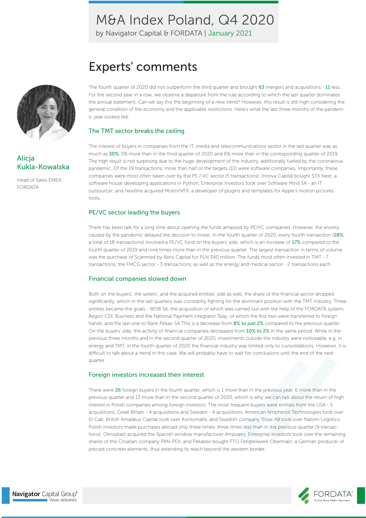by Navigator Capital & FORDATA | January 2021

# Experts' comments



### **Alicja** Kukla-Kowalska

Head of Sales EMEA FORDATA

The fourth quarter of 2020 did not outperform the third quarter and brought 63 mergers and acquisitions - 11 less. For the second year in a row, we observe a departure from the rule according to which the last quarter dominates the annual statement. Can we say this the beginning of a new trend? However, this result is still high considering the general condition of the economy and the applicable restrictions. Here's what the last three months of the pandemic year looked like.

#### The TMT sector breaks the ceiling

The interest of buyers in companies from the IT, media and telecommunications sector in the last quarter was as much as 30%, 5% more than in the third quarter of 2020 and 6% more than in the corresponding quarter of 2019. The high result is not surprising due to the huge development of the industry, additionally fueled by the coronavirus pandemic. Of the 19 transactions, more than half of the targets (10) were software companies. Importantly, these companies were most often taken over by the PE / VC sector (5 transactions). Innova Capital bought STX Next, a software house developing applications in Python, Enterprise Investors took over Software Mind SA - an IT outsourcer, and Nextline acquired MotionVFX, a developer of plugins and templates for Apple's motion pictures tools.

#### PE/VC sector leading the buyers

There has been talk for a long time about opening the funds amassed by PE/VC companies. However, the anxiety caused by the pandemic delayed the decision to invest. In the fourth quarter of 2020, every fourth transaction (28%, a total of 18 transactions) involved a PE/VC fund on the buyers' side, which is an increase of 17% compared to the fourth quarter of 2019 and nine times more than in the previous quarter. The largest transaction in terms of volume was the purchase of Scanmed by Abris Capital for PLN 340 million. The funds most often invested in TMT - 7 transactions, the FMCG sector - 3 transactions, as well as the energy and medical sector - 2 transactions each.

#### Financial companies slowed down

Both on the buyers', the sellers', and the acquired entities' side as well, the share of the financial sector dropped significantly, which in the last quarters was constantly fighting for the dominant position with the TMT industry. Three entities became the goals - WDB SA, the acquisition of which was carried out with the help of the FORDATA system, Aegon CEE Business and the National Payment Integrator Tpay, of which the first two were transferred to foreign hands, and the last one to Bank Pekao SA This is a decrease from 8% to just 2% compared to the previous quarter. On the buyers' side, the activity of financial companies decreased from 10% to 2% in the same period. While in the previous three months and in the second quarter of 2020, investments outside the industry were noticeable, e.g. in energy and TMT, in the fourth quarter of 2020 the financial industry was limited only to consolidations. However, it is difficult to talk about a trend in this case. We will probably have to wait for conclusions until the end of the next quarter.

#### Foreign investors increased their interest

There were 26 foreign buyers in the fourth quarter, which is 1 more than in the previous year, 6 more than in the previous quarter and 13 more than in the second quarter of 2020, which is why we can talk about the return of high interest in Polish companies among foreign investors. The most frequent buyers were entities from the USA - 5 acquisitions, Great Britain - 4 acquisitions and Sweden - 4 acquisitions. American Amphenol Technologies took over El-Cab, British Amadeus Capital took over Kontomatik, and Swedish company Troax AB took over Natom Logistics. Polish investors made purchases abroad only three times- three times less than in the previous quarter (9 transactions). Oknoplast acquired the Spanish window manufacturer Ampuero, Enterprise Investors took over the remaining shares of the Croatian company PAN-PEK, and Pekabex bought FTO Ferigteilwerk Obermain, a German producer of precast concrete elements, thus extending its reach beyond the western border.

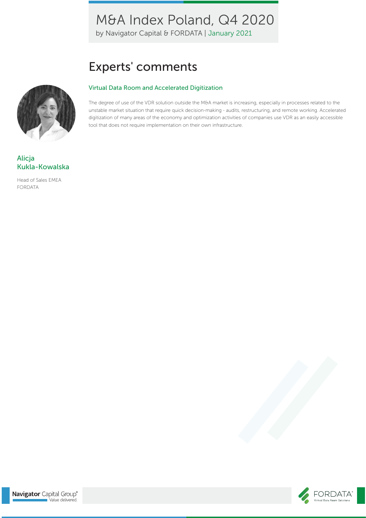by Navigator Capital & FORDATA | January 2021

# Experts' comments

#### Virtual Data Room and Accelerated Digitization

The degree of use of the VDR solution outside the M&A market is increasing, especially in processes related to the unstable market situation that require quick decision-making - audits, restructuring, and remote working. Accelerated digitization of many areas of the economy and optimization activities of companies use VDR as an easily accessible tool that does not require implementation on their own infrastructure.

## **Alicia** Kukla-Kowalska

Head of Sales EMEA FORDATA